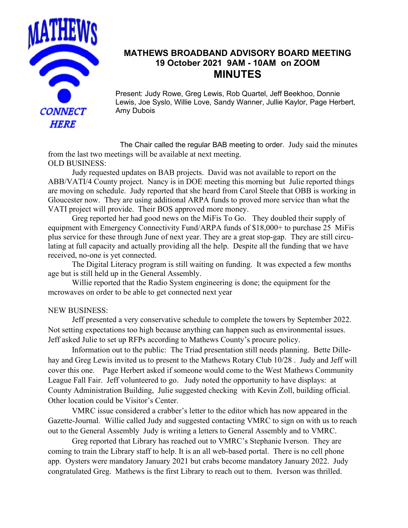

## **MATHEWS BROADBAND ADVISORY BOARD MEETING 19 October 2021 9AM - 10AM on ZOOM MINUTES**

Present: Judy Rowe, Greg Lewis, Rob Quartel, Jeff Beekhoo, Donnie Lewis, Joe Syslo, Willie Love, Sandy Wanner, Jullie Kaylor, Page Herbert, Amy Dubois

The Chair called the regular BAB meeting to order. Judy said the minutes from the last two meetings will be available at next meeting. OLD BUSINESS:

Judy requested updates on BAB projects. David was not available to report on the ABB/VATI/4 County project. Nancy is in DOE meeting this morning but Julie reported things are moving on schedule. Judy reported that she heard from Carol Steele that OBB is working in Gloucester now. They are using additional ARPA funds to proved more service than what the VATI project will provide. Their BOS approved more money.

Greg reported her had good news on the MiFis To Go. They doubled their supply of equipment with Emergency Connectivity Fund/ARPA funds of \$18,000+ to purchase 25 MiFis plus service for these through June of next year. They are a great stop-gap. They are still circulating at full capacity and actually providing all the help. Despite all the funding that we have received, no-one is yet connected.

The Digital Literacy program is still waiting on funding. It was expected a few months age but is still held up in the General Assembly.

Willie reported that the Radio System engineering is done; the equipment for the mcrowaves on order to be able to get connected next year

## NEW BUSINESS:

Jeff presented a very conservative schedule to complete the towers by September 2022. Not setting expectations too high because anything can happen such as environmental issues. Jeff asked Julie to set up RFPs according to Mathews County's procure policy.

Information out to the public: The Triad presentation still needs planning. Bette Dillehay and Greg Lewis invited us to present to the Mathews Rotary Club 10/28 . Judy and Jeff will cover this one. Page Herbert asked if someone would come to the West Mathews Community League Fall Fair. Jeff volunteered to go. Judy noted the opportunity to have displays: at County Administration Building, Julie suggested checking with Kevin Zoll, building official. Other location could be Visitor's Center.

VMRC issue considered a crabber's letter to the editor which has now appeared in the Gazette-Journal. Willie called Judy and suggested contacting VMRC to sign on with us to reach out to the General Assembly Judy is writing a letters to General Assembly and to VMRC.

Greg reported that Library has reached out to VMRC's Stephanie Iverson. They are coming to train the Library staff to help. It is an all web-based portal. There is no cell phone app. Oysters were mandatory January 2021 but crabs become mandatory January 2022. Judy congratulated Greg. Mathews is the first Library to reach out to them. Iverson was thrilled.